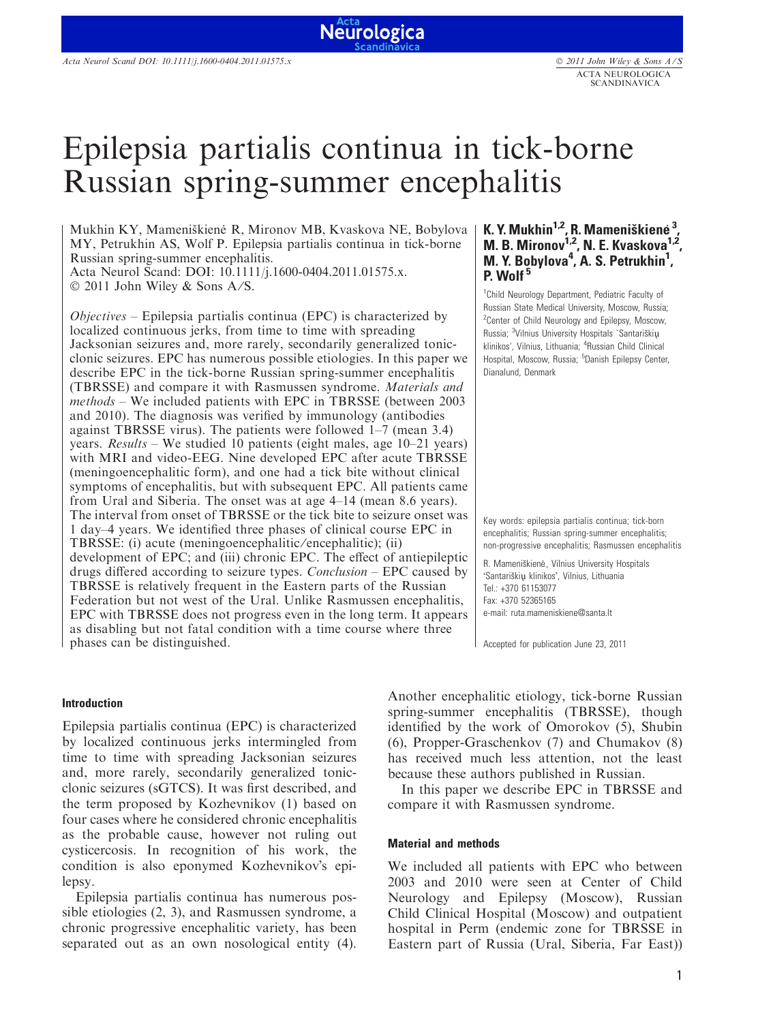# Epilepsia partialis continua in tick-borne Russian spring-summer encephalitis

Neurologica

Mukhin KY, Mameniškienė R, Mironov MB, Kvaskova NE, Bobylova MY, Petrukhin AS, Wolf P. Epilepsia partialis continua in tick-borne Russian spring-summer encephalitis. Acta Neurol Scand: DOI: 10.1111/j.1600-0404.2011.01575.x.

 $\odot$  2011 John Wiley & Sons A/S.

 $Objectives$  – Epilepsia partialis continua (EPC) is characterized by localized continuous jerks, from time to time with spreading Jacksonian seizures and, more rarely, secondarily generalized tonicclonic seizures. EPC has numerous possible etiologies. In this paper we describe EPC in the tick-borne Russian spring-summer encephalitis (TBRSSE) and compare it with Rasmussen syndrome. Materials and methods – We included patients with EPC in TBRSSE (between 2003 and 2010). The diagnosis was verified by immunology (antibodies against TBRSSE virus). The patients were followed 1–7 (mean 3.4) years. Results – We studied 10 patients (eight males, age 10–21 years) with MRI and video-EEG. Nine developed EPC after acute TBRSSE (meningoencephalitic form), and one had a tick bite without clinical symptoms of encephalitis, but with subsequent EPC. All patients came from Ural and Siberia. The onset was at age 4–14 (mean 8.6 years). The interval from onset of TBRSSE or the tick bite to seizure onset was 1 day–4 years. We identified three phases of clinical course EPC in TBRSSE: (i) acute (meningoencephalitic/encephalitic); (ii) development of EPC; and (iii) chronic EPC. The effect of antiepileptic drugs differed according to seizure types. Conclusion – EPC caused by TBRSSE is relatively frequent in the Eastern parts of the Russian Federation but not west of the Ural. Unlike Rasmussen encephalitis, EPC with TBRSSE does not progress even in the long term. It appears as disabling but not fatal condition with a time course where three phases can be distinguished.

#### Introduction

Epilepsia partialis continua (EPC) is characterized by localized continuous jerks intermingled from time to time with spreading Jacksonian seizures and, more rarely, secondarily generalized tonicclonic seizures (sGTCS). It was first described, and the term proposed by Kozhevnikov (1) based on four cases where he considered chronic encephalitis as the probable cause, however not ruling out cysticercosis. In recognition of his work, the condition is also eponymed Kozhevnikov's epilepsy.

Epilepsia partialis continua has numerous possible etiologies (2, 3), and Rasmussen syndrome, a chronic progressive encephalitic variety, has been separated out as an own nosological entity (4).

## K. Y. Mukhin<sup>1,2</sup>, R. Mameniškienė<sup>3</sup> M. B. Mironov<sup>1,2</sup>, N. E. Kvaskova<sup>1,2</sup>, M. Y. Bobylova<sup>4</sup>, A. S. Petrukhin<sup>1</sup>, P. Wolf<sup>5</sup>

<sup>1</sup> Child Neurology Department, Pediatric Faculty of Russian State Medical University, Moscow, Russia; <sup>2</sup> Center of Child Neurology and Epilepsy, Moscow, Russia; <sup>3</sup>Vilnius University Hospitals `Santariškių klinikos', Vilnius, Lithuania; <sup>4</sup>Russian Child Clinical Hospital, Moscow, Russia; <sup>5</sup>Danish Epilepsy Center, Dianalund, Denmark

Key words: epilepsia partialis continua; tick-born encephalitis; Russian spring-summer encephalitis; non-progressive encephalitis; Rasmussen encephalitis

R. Mameniškienė, Vilnius University Hospitals 'Santariškių klinikos', Vilnius, Lithuania Tel.: +370 61153077 Fax: +370 52365165 e-mail: ruta.mameniskiene@santa.lt

Accepted for publication June 23, 2011

Another encephalitic etiology, tick-borne Russian spring-summer encephalitis (TBRSSE), though identified by the work of Omorokov (5), Shubin (6), Propper-Graschenkov (7) and Chumakov (8) has received much less attention, not the least because these authors published in Russian.

In this paper we describe EPC in TBRSSE and compare it with Rasmussen syndrome.

#### Material and methods

We included all patients with EPC who between 2003 and 2010 were seen at Center of Child Neurology and Epilepsy (Moscow), Russian Child Clinical Hospital (Moscow) and outpatient hospital in Perm (endemic zone for TBRSSE in Eastern part of Russia (Ural, Siberia, Far East))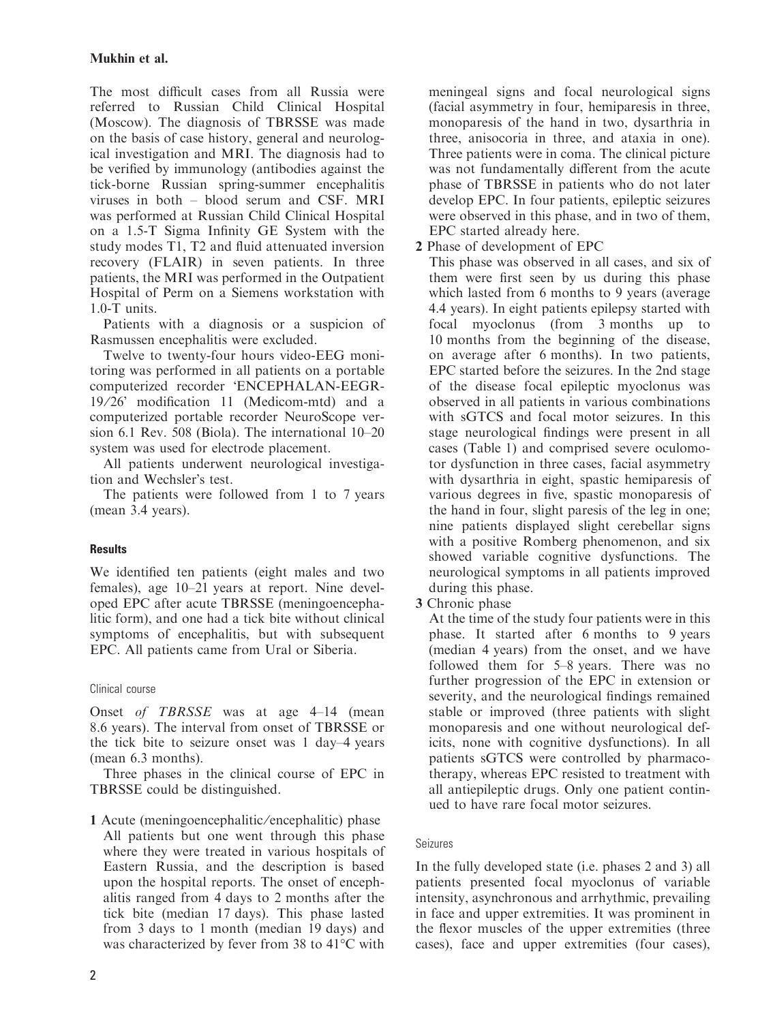## Mukhin et al.

The most difficult cases from all Russia were referred to Russian Child Clinical Hospital (Moscow). The diagnosis of TBRSSE was made on the basis of case history, general and neurological investigation and MRI. The diagnosis had to be verified by immunology (antibodies against the tick-borne Russian spring-summer encephalitis viruses in both – blood serum and CSF. MRI was performed at Russian Child Clinical Hospital on a 1.5-T Sigma Infinity GE System with the study modes T1, T2 and fluid attenuated inversion recovery (FLAIR) in seven patients. In three patients, the MRI was performed in the Outpatient Hospital of Perm on a Siemens workstation with 1.0-T units.

Patients with a diagnosis or a suspicion of Rasmussen encephalitis were excluded.

Twelve to twenty-four hours video-EEG monitoring was performed in all patients on a portable computerized recorder 'ENCEPHALAN-EEGR-19/26' modification 11 (Medicom-mtd) and a computerized portable recorder NeuroScope version 6.1 Rev. 508 (Biola). The international 10–20 system was used for electrode placement.

All patients underwent neurological investigation and Wechsler's test.

The patients were followed from 1 to 7 years (mean 3.4 years).

## **Results**

We identified ten patients (eight males and two females), age 10–21 years at report. Nine developed EPC after acute TBRSSE (meningoencephalitic form), and one had a tick bite without clinical symptoms of encephalitis, but with subsequent EPC. All patients came from Ural or Siberia.

## Clinical course

Onset of TBRSSE was at age 4-14 (mean 8.6 years). The interval from onset of TBRSSE or the tick bite to seizure onset was 1 day–4 years (mean 6.3 months).

Three phases in the clinical course of EPC in TBRSSE could be distinguished.

1 Acute (meningoencephalitic ⁄ encephalitic) phase All patients but one went through this phase where they were treated in various hospitals of Eastern Russia, and the description is based upon the hospital reports. The onset of encephalitis ranged from 4 days to 2 months after the tick bite (median 17 days). This phase lasted from 3 days to 1 month (median 19 days) and was characterized by fever from 38 to  $41^{\circ}$ C with

meningeal signs and focal neurological signs (facial asymmetry in four, hemiparesis in three, monoparesis of the hand in two, dysarthria in three, anisocoria in three, and ataxia in one). Three patients were in coma. The clinical picture was not fundamentally different from the acute phase of TBRSSE in patients who do not later develop EPC. In four patients, epileptic seizures were observed in this phase, and in two of them, EPC started already here.

2 Phase of development of EPC

This phase was observed in all cases, and six of them were first seen by us during this phase which lasted from 6 months to 9 years (average 4.4 years). In eight patients epilepsy started with focal myoclonus (from 3 months up to 10 months from the beginning of the disease, on average after 6 months). In two patients, EPC started before the seizures. In the 2nd stage of the disease focal epileptic myoclonus was observed in all patients in various combinations with sGTCS and focal motor seizures. In this stage neurological findings were present in all cases (Table 1) and comprised severe oculomotor dysfunction in three cases, facial asymmetry with dysarthria in eight, spastic hemiparesis of various degrees in five, spastic monoparesis of the hand in four, slight paresis of the leg in one; nine patients displayed slight cerebellar signs with a positive Romberg phenomenon, and six showed variable cognitive dysfunctions. The neurological symptoms in all patients improved during this phase.

3 Chronic phase

At the time of the study four patients were in this phase. It started after 6 months to 9 years (median 4 years) from the onset, and we have followed them for 5–8 years. There was no further progression of the EPC in extension or severity, and the neurological findings remained stable or improved (three patients with slight monoparesis and one without neurological deficits, none with cognitive dysfunctions). In all patients sGTCS were controlled by pharmacotherapy, whereas EPC resisted to treatment with all antiepileptic drugs. Only one patient continued to have rare focal motor seizures.

## Seizures

In the fully developed state (i.e. phases 2 and 3) all patients presented focal myoclonus of variable intensity, asynchronous and arrhythmic, prevailing in face and upper extremities. It was prominent in the flexor muscles of the upper extremities (three cases), face and upper extremities (four cases),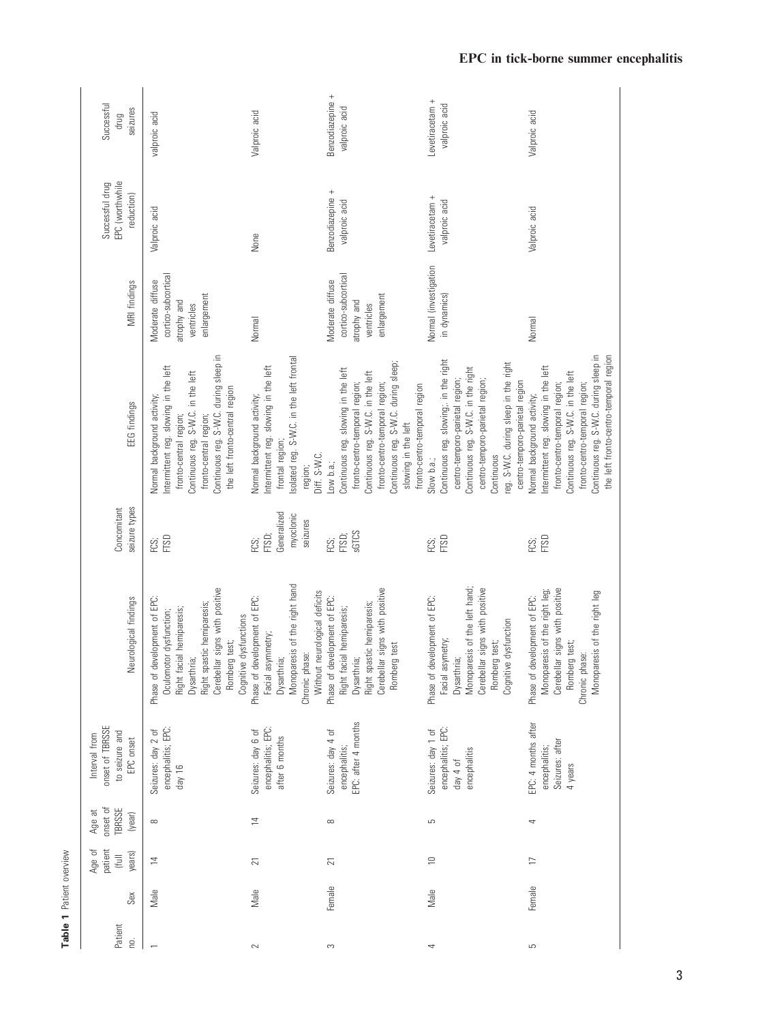| Patient<br>ρg. | Sex    | patient<br>Age of<br>years)<br>(full | onset of<br>TBRSSE<br>Age at<br>(year) | onset of TBRSSE<br>to seizure and<br>Interval from<br>EPC onset        | Neurological findings                                                                                                                                                                                             | seizure types<br>Concomitant                          | EEG findings                                                                                                                                                                                                                                                      | MRI findings                                                                         | EPC (worthwhile<br>Successful drug<br>reduction) | Successful<br>seizures<br>drug    |
|----------------|--------|--------------------------------------|----------------------------------------|------------------------------------------------------------------------|-------------------------------------------------------------------------------------------------------------------------------------------------------------------------------------------------------------------|-------------------------------------------------------|-------------------------------------------------------------------------------------------------------------------------------------------------------------------------------------------------------------------------------------------------------------------|--------------------------------------------------------------------------------------|--------------------------------------------------|-----------------------------------|
|                | Male   | $\overline{4}$                       | $\infty$                               | encephalitis; EPC:<br>Seizures: day 2 of<br>day 16                     | Cerebellar signs with positive<br>Phase of development of EPC:<br>Right spastic hemiparesis;<br>Right facial hemiparesis;<br>Oculomotor dysfunction;<br>dysfunctions<br>Romberg test;<br>Dysarthria;<br>Cognitive | FTSD<br>FCS;                                          | Continuous reg. S-W.C. during sleep in<br>ntermittent reg. slowing in the left<br>Continuous reg. S-W.C. in the left<br>the left fronto-central region<br>Normal background activity;<br>fronto-central region;<br>fronto-central region;                         | cortico-subcortical<br>Moderate diffuse<br>enlargement<br>atrophy and<br>ventricles  | Valproic acid                                    | valproic acid                     |
| $\sim$         | Male   | $\overline{21}$                      | $\overline{4}$                         | encephalitis; EPC:<br>Seizures: day 6 of<br>after 6 months             | Monoparesis of the right hand<br>Without neurological deficits<br>Phase of development of EPC:<br>Facial asymmetry;<br>Chronic phase:<br>Dysarthria;                                                              | Generalized<br>myoclonic<br>seizures<br>FTSD;<br>FCS; | solated reg. S-W.C. in the left frontal<br>ntermittent reg. slowing in the left<br><b>Normal background activity;</b><br>frontal region;<br>Diff. S-W.C.<br>region;                                                                                               | Normal                                                                               | None                                             | Valproic acid                     |
| S              | Female | 21                                   | $\infty$                               | EPC: after 4 months<br>Seizures: day 4 of<br>encephalitis;             | Cerebellar signs with positive<br>Phase of development of EPC:<br>Right spastic hemiparesis;<br>Right facial hemiparesis;<br>Romberg test<br>Dysarthria;                                                          | <b>SGTCS</b><br>FTSD;<br>FCS;                         | Continuous reg. S-W.C. during sleep;<br>Continuous reg. slowing in the left<br>Continuous reg. S-W.C. in the left<br>fronto-centro-temporal region;<br>fronto-centro-temporal region;<br>fronto-centro-temporal region<br>slowing in the left<br>ow b.a.;         | cortico-subcortical<br>Vloderate diffuse<br>enlargement<br>atrophy and<br>ventricles | Benzodiazepine +<br>valproic acid                | Benzodiazepine +<br>valproic acid |
| 4              | Male   | $\supseteq$                          | 5                                      | encephalitis; EPC:<br>Seizures: day 1 of<br>encephalitis<br>day $4$ of | Monoparesis of the left hand;<br>Cerebellar signs with positive<br>Phase of development of EPC:<br>dysfunction<br>Facial asymetry;<br>Romberg test;<br>Dysarthria;<br>Cognitive                                   | <b>FTSD</b><br>FCS;                                   | Continuous reg. slowing; in the right<br>reg. S-W.C. during sleep in the right<br>Continuous reg. S-W.C. in the right<br>centro-temporo-parietal region;<br>centro-temporo-parietal region;<br>centro-temporo-parietal region<br>Continuous<br>Slow b.a.;         | Normal (investigation<br>in dynamics)                                                | Levetiracetam +<br>valproic acid                 | Levetiracetam +<br>valproic acid  |
| 5              | Female | $\Box$                               | 4                                      | EPC: 4 months after<br>Seizures: after<br>encephalitis;<br>4 years     | Cerebellar signs with positive<br>Monoparesis of the right leg;<br>Monoparesis of the right leg<br>Phase of development of EPC:<br>Romberg test;<br>Chronic phase:                                                | FTSD<br>FCS;                                          | Continuous reg. S-W.C. during sleep in<br>the left fronto-centro-temporal region<br>ntermittent reg. slowing in the left<br>Continuous reg. S-W.C. in the left<br>fronto-centro-temporal region;<br>fronto-centro-temporal region;<br>Normal background activity; | Normal                                                                               | Valproic acid                                    | Valproic acid                     |

Table 1 Patient overview

Table 1 Patient overview

EPC in tick-borne summer encephalitis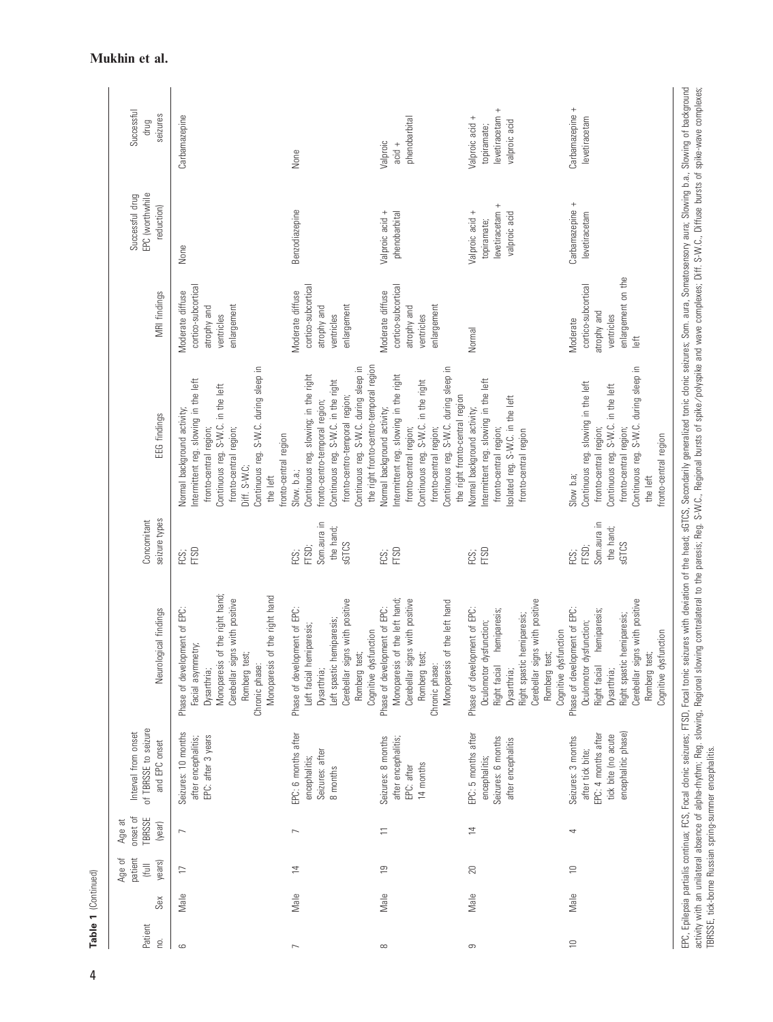| Successful<br>seizures<br>drug<br>EPC (worthwhile<br>Successful drug<br>reduction) | Carbamazepine<br>None                                                                                                                                                                                                                                        | None<br>Benzodiazepine                                                                                                                                                                                                                               | phenobarbital<br>Valproic<br>$acid +$<br>Valproic acid +<br>phenobarbital                                                                                                                                                                    | levetiracetam +<br>Valproic acid +<br>valproic acid<br>topiramate;<br>levetiracetam +<br>Valproic acid +<br>valproic acid<br>topiramate;                                                                            | Carbamazepine +<br>levetiracetam<br>Carbamazepine +<br>levetiracetam                                                                                                                                                      |
|------------------------------------------------------------------------------------|--------------------------------------------------------------------------------------------------------------------------------------------------------------------------------------------------------------------------------------------------------------|------------------------------------------------------------------------------------------------------------------------------------------------------------------------------------------------------------------------------------------------------|----------------------------------------------------------------------------------------------------------------------------------------------------------------------------------------------------------------------------------------------|---------------------------------------------------------------------------------------------------------------------------------------------------------------------------------------------------------------------|---------------------------------------------------------------------------------------------------------------------------------------------------------------------------------------------------------------------------|
| MRI findings                                                                       | cortico-subcortical<br>Moderate diffuse<br>enlargement<br>atrophy and<br>ventricles                                                                                                                                                                          | cortico-subcortical<br>Moderate diffuse<br>enlargement<br>atrophy and<br>ventricles                                                                                                                                                                  | cortico-subcortical<br>Moderate diffuse<br>enlargement<br>atrophy and<br>ventricles                                                                                                                                                          | Normal                                                                                                                                                                                                              | enlargement on the<br>cortico-subcortical<br>atrophy and<br>ventricles<br>Moderate<br>$\frac{1}{2}$                                                                                                                       |
| EEG findings                                                                       | Continuous reg. S-W.C. during sleep in<br>ntermittent reg. slowing in the left<br>Continuous reg. S-W.C. in the left<br>Normal background activity;<br>fronto-central region;<br>fronto-central region;<br>fronto-central region<br>Diff. S-W.C;<br>the left | the right fronto-centro-temporal region<br>Continuous reg. S-W.C. during sleep in<br>Continuous reg. slowing; in the right<br>Continuous reg. S-W.C. in the right<br>fronto-centro-temporal region;<br>fronto-centro-temporal region;<br>Slow. b.a.; | Continuous reg. S-W.C. during sleep in<br>ntermittent reg. slowing in the right<br>Continuous reg. S-W.C. in the right<br>the right fronto-central region<br>Normal background activity;<br>fronto-central region;<br>fronto-central region; | ntermittent reg. slowing in the left<br>solated reg. S-W.C. in the left<br><b>Vormal background activity;</b><br>fronto-central region;<br>fronto-central region                                                    | Continuous reg. S-W.C. during sleep in<br>Continuous reg. slowing in the left<br>Continuous reg. S-W.C. in the left<br>fronto-central region;<br>fronto-central region;<br>fronto-central region<br>Slow b.a;<br>the left |
| seizure types<br>Concomitant                                                       | FTSD<br>FCS;                                                                                                                                                                                                                                                 | Som.aura in<br>the hand;<br>SGTCS<br>FTSD;<br>FCS;                                                                                                                                                                                                   | FTSD<br>FCS;                                                                                                                                                                                                                                 | FTSD<br>FCS;                                                                                                                                                                                                        | Som.aura in<br>the hand;<br>SGTCS<br>FTSD;<br>FCS;                                                                                                                                                                        |
| Neurological findings                                                              | of the right hand;<br>of the right hand<br>Cerebellar signs with positive<br>Phase of development of EPC:<br>Facial asymmetry;<br>Romberg test;<br>Monoparesis<br>Monoparesis<br>Chronic phase:<br>Dysarthria;                                               | Cerebellar signs with positive<br>Phase of development of EPC:<br>hemiparesis;<br>Left facial hemiparesis;<br>Cognitive dysfunction<br>Romberg test;<br>Left spastic<br>Dysarthria;                                                                  | of the left hand;<br>Cerebellar signs with positive<br>of the left hand<br>Phase of development of EPC:<br>Romberg test;<br>Monoparesis<br>Monoparesis<br>Chronic phase:                                                                     | Cerebellar signs with positive<br>Phase of development of EPC:<br>hemiparesis;<br>hemiparesis;<br>Oculomotor dysfunction;<br>Cognitive dysfunction<br>Romberg test;<br>Right spastic<br>Right facial<br>Dysarthria; | Cerebellar signs with positive<br>Phase of development of EPC:<br>hemiparesis;<br>hemiparesis;<br>Oculomotor dysfunction;<br>sfunction<br>Romberg test;<br>Right spastic<br>Cognitive dy<br>Right facial<br>Dysarthria;   |
| of TBRSSE to seizure<br>Interval from onset<br>and EPC onset                       | Seizures: 10 months<br>EPC: after 3 years<br>after encephalitis;                                                                                                                                                                                             | EPC: 6 months after<br>Seizures: after<br>encephalitis;<br>8 months                                                                                                                                                                                  | Seizures: 8 months<br>after encephalitis;<br>14 months<br>EPC: after                                                                                                                                                                         | EPC: 5 months after<br>Seizures: 6 months<br>after encephalitis<br>encephalitis;                                                                                                                                    | encephalitic phase)<br>EPC: 4 months after<br>tick bite (no acute<br>Seizures: 3 months<br>after tick bite;                                                                                                               |
| onset of<br>TBRSSE<br>Age at<br>(year)                                             | $\overline{ }$                                                                                                                                                                                                                                               | $\overline{ }$                                                                                                                                                                                                                                       | $\equiv$                                                                                                                                                                                                                                     | $\overline{4}$                                                                                                                                                                                                      | 4                                                                                                                                                                                                                         |
| patient<br>Age of<br>years)<br>(full                                               | $\Box$                                                                                                                                                                                                                                                       | $\overline{4}$                                                                                                                                                                                                                                       | $\overline{6}$                                                                                                                                                                                                                               | $20\,$                                                                                                                                                                                                              | $\approx$                                                                                                                                                                                                                 |
| Sex                                                                                | Male                                                                                                                                                                                                                                                         | Male                                                                                                                                                                                                                                                 | Male                                                                                                                                                                                                                                         | Male                                                                                                                                                                                                                | Male                                                                                                                                                                                                                      |
| Patient<br>ρġ.                                                                     | $\circ$                                                                                                                                                                                                                                                      | $\overline{\phantom{0}}$                                                                                                                                                                                                                             | $\infty$                                                                                                                                                                                                                                     | တ                                                                                                                                                                                                                   | $\supseteq$                                                                                                                                                                                                               |

EPC, Epilepsia partialis continua, FCS, Focal clonic seizures with deviation of the head; sGTCS, Secondarily generalized tonic seizures; Som. aura, Somatosensory aura; Slowing b.a., Slowing of background<br>activity with an u EPC, Epilepsia partialis continua; FCS, Focal Iohio seizures; FTSD, Focal tonic seizures with deviation of the head; sGTCS, Secondarily generalized tonic clonic seizures; Som. aura, Somatosensory aura; Slowing b.a., Slowin activity with an unilateral absence of alpha-rhythm; Req. slowing, Regional slowing contralateral to the paresis; Req. S-W.C., Regional bursts of spike /polyspike and wave complexes; Diff. S-W.C.. Diffuse bursts of spike-w TBRSSE, tick-borne Russian spring-summer encephalitis.

## Mukhin et al.

Table 1 (Continued)

Table 1 (Continued)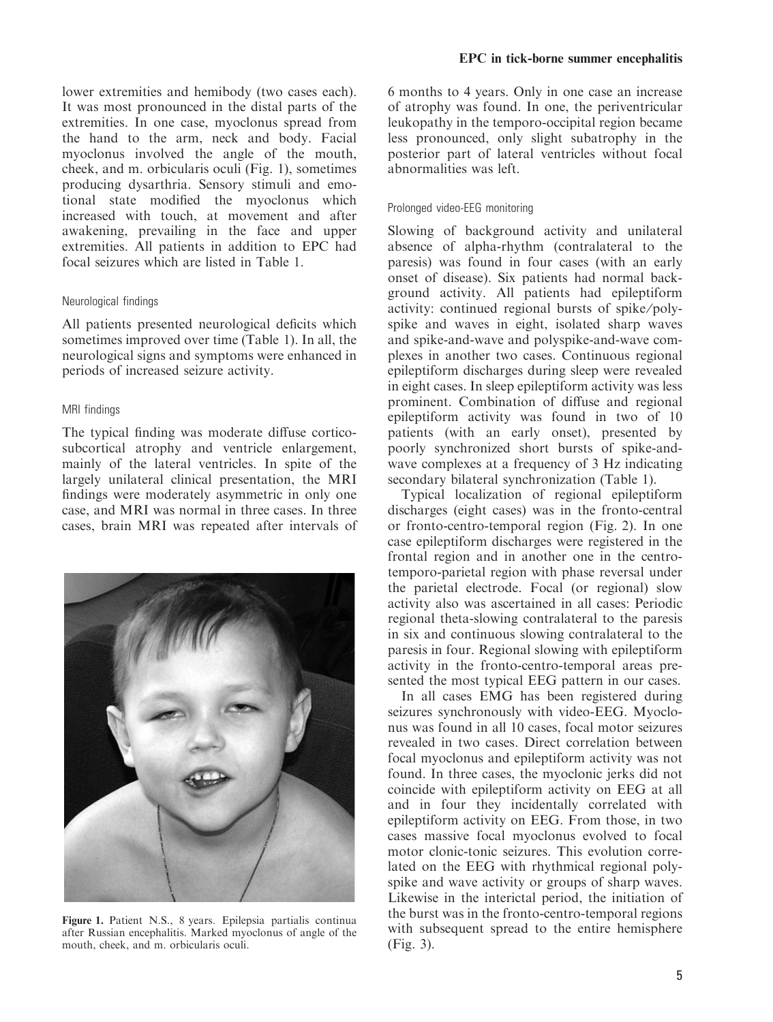lower extremities and hemibody (two cases each). It was most pronounced in the distal parts of the extremities. In one case, myoclonus spread from the hand to the arm, neck and body. Facial myoclonus involved the angle of the mouth, cheek, and m. orbicularis oculi (Fig. 1), sometimes producing dysarthria. Sensory stimuli and emotional state modified the myoclonus which increased with touch, at movement and after awakening, prevailing in the face and upper extremities. All patients in addition to EPC had focal seizures which are listed in Table 1.

#### Neurological findings

All patients presented neurological deficits which sometimes improved over time (Table 1). In all, the neurological signs and symptoms were enhanced in periods of increased seizure activity.

#### MRI findings

The typical finding was moderate diffuse corticosubcortical atrophy and ventricle enlargement, mainly of the lateral ventricles. In spite of the largely unilateral clinical presentation, the MRI findings were moderately asymmetric in only one case, and MRI was normal in three cases. In three cases, brain MRI was repeated after intervals of



Figure 1. Patient N.S., 8 years. Epilepsia partialis continua after Russian encephalitis. Marked myoclonus of angle of the mouth, cheek, and m. orbicularis oculi.

6 months to 4 years. Only in one case an increase of atrophy was found. In one, the periventricular leukopathy in the temporo-occipital region became less pronounced, only slight subatrophy in the posterior part of lateral ventricles without focal abnormalities was left.

#### Prolonged video-EEG monitoring

Slowing of background activity and unilateral absence of alpha-rhythm (contralateral to the paresis) was found in four cases (with an early onset of disease). Six patients had normal background activity. All patients had epileptiform activity: continued regional bursts of spike/polyspike and waves in eight, isolated sharp waves and spike-and-wave and polyspike-and-wave complexes in another two cases. Continuous regional epileptiform discharges during sleep were revealed in eight cases. In sleep epileptiform activity was less prominent. Combination of diffuse and regional epileptiform activity was found in two of 10 patients (with an early onset), presented by poorly synchronized short bursts of spike-andwave complexes at a frequency of 3 Hz indicating secondary bilateral synchronization (Table 1).

Typical localization of regional epileptiform discharges (eight cases) was in the fronto-central or fronto-centro-temporal region (Fig. 2). In one case epileptiform discharges were registered in the frontal region and in another one in the centrotemporo-parietal region with phase reversal under the parietal electrode. Focal (or regional) slow activity also was ascertained in all cases: Periodic regional theta-slowing contralateral to the paresis in six and continuous slowing contralateral to the paresis in four. Regional slowing with epileptiform activity in the fronto-centro-temporal areas presented the most typical EEG pattern in our cases.

In all cases EMG has been registered during seizures synchronously with video-EEG. Myoclonus was found in all 10 cases, focal motor seizures revealed in two cases. Direct correlation between focal myoclonus and epileptiform activity was not found. In three cases, the myoclonic jerks did not coincide with epileptiform activity on EEG at all and in four they incidentally correlated with epileptiform activity on EEG. From those, in two cases massive focal myoclonus evolved to focal motor clonic-tonic seizures. This evolution correlated on the EEG with rhythmical regional polyspike and wave activity or groups of sharp waves. Likewise in the interictal period, the initiation of the burst was in the fronto-centro-temporal regions with subsequent spread to the entire hemisphere (Fig. 3).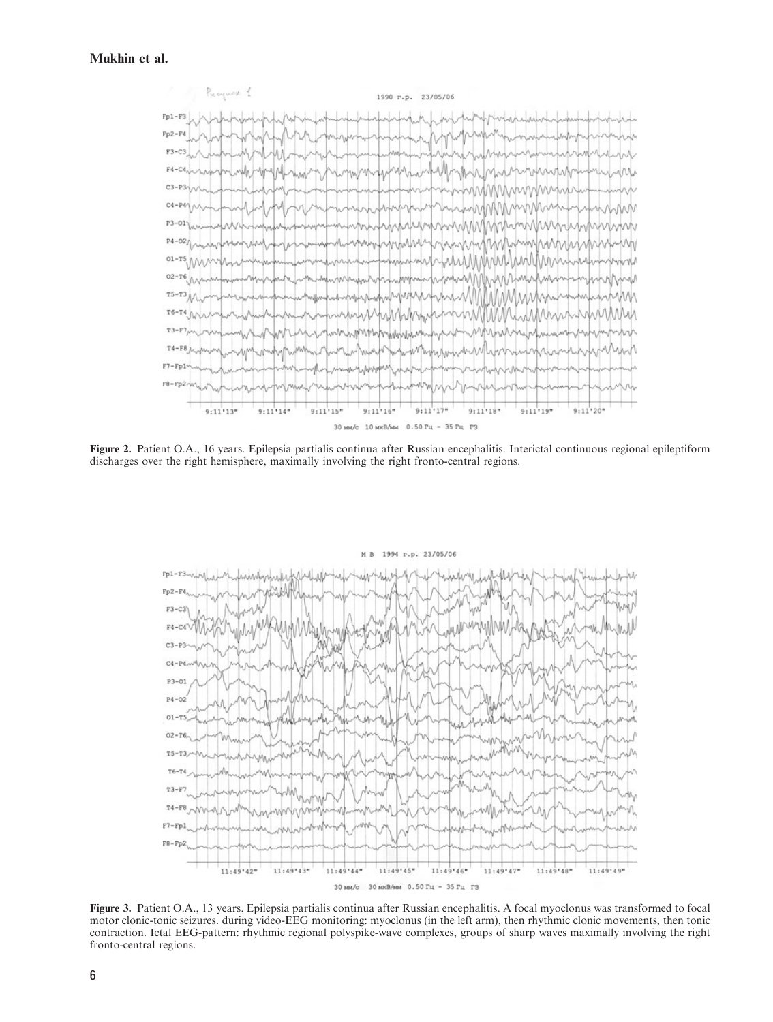#### Mukhin et al.



Figure 2. Patient O.A., 16 years. Epilepsia partialis continua after Russian encephalitis. Interictal continuous regional epileptiform discharges over the right hemisphere, maximally involving the right fronto-central regions.



Figure 3. Patient O.A., 13 years. Epilepsia partialis continua after Russian encephalitis. A focal myoclonus was transformed to focal motor clonic-tonic seizures. during video-EEG monitoring: myoclonus (in the left arm), then rhythmic clonic movements, then tonic contraction. Ictal EEG-pattern: rhythmic regional polyspike-wave complexes, groups of sharp waves maximally involving the right fronto-central regions.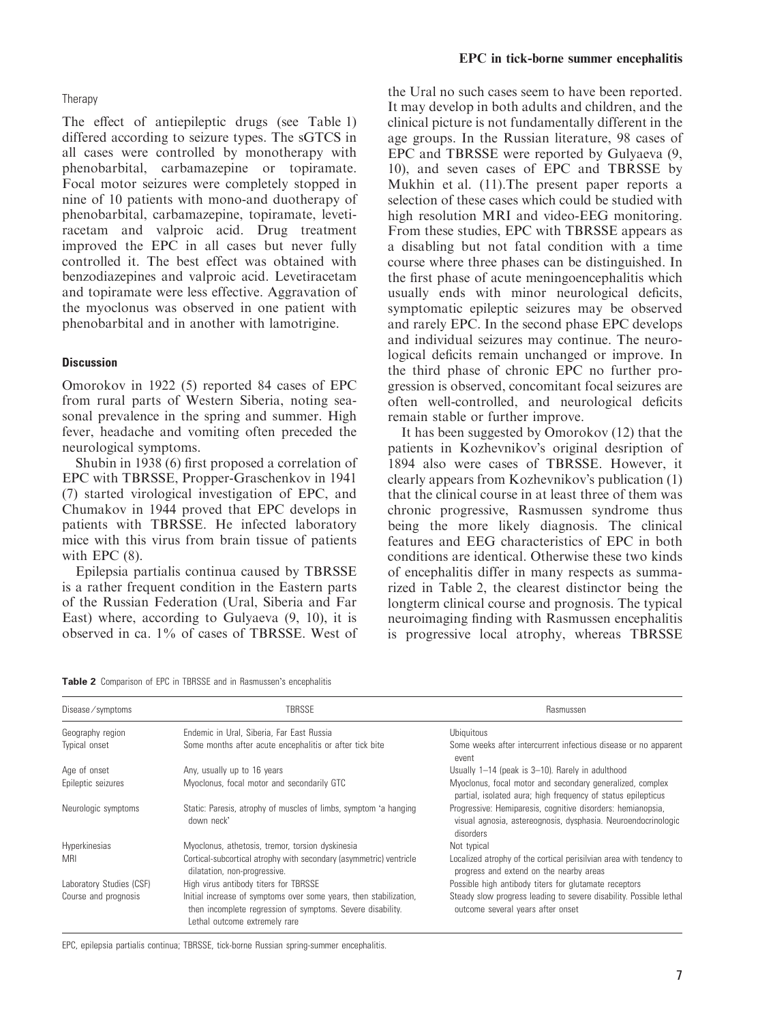#### Therapy

The effect of antiepileptic drugs (see Table 1) differed according to seizure types. The sGTCS in all cases were controlled by monotherapy with phenobarbital, carbamazepine or topiramate. Focal motor seizures were completely stopped in nine of 10 patients with mono-and duotherapy of phenobarbital, carbamazepine, topiramate, levetiracetam and valproic acid. Drug treatment improved the EPC in all cases but never fully controlled it. The best effect was obtained with benzodiazepines and valproic acid. Levetiracetam and topiramate were less effective. Aggravation of the myoclonus was observed in one patient with phenobarbital and in another with lamotrigine.

#### **Discussion**

Omorokov in 1922 (5) reported 84 cases of EPC from rural parts of Western Siberia, noting seasonal prevalence in the spring and summer. High fever, headache and vomiting often preceded the neurological symptoms.

Shubin in 1938 (6) first proposed a correlation of EPC with TBRSSE, Propper-Graschenkov in 1941 (7) started virological investigation of EPC, and Chumakov in 1944 proved that EPC develops in patients with TBRSSE. He infected laboratory mice with this virus from brain tissue of patients with EPC (8).

Epilepsia partialis continua caused by TBRSSE is a rather frequent condition in the Eastern parts of the Russian Federation (Ural, Siberia and Far East) where, according to Gulyaeva (9, 10), it is observed in ca. 1% of cases of TBRSSE. West of the Ural no such cases seem to have been reported. It may develop in both adults and children, and the clinical picture is not fundamentally different in the age groups. In the Russian literature, 98 cases of EPC and TBRSSE were reported by Gulyaeva (9, 10), and seven cases of EPC and TBRSSE by Mukhin et al. (11).The present paper reports a selection of these cases which could be studied with high resolution MRI and video-EEG monitoring. From these studies, EPC with TBRSSE appears as a disabling but not fatal condition with a time course where three phases can be distinguished. In the first phase of acute meningoencephalitis which usually ends with minor neurological deficits, symptomatic epileptic seizures may be observed and rarely EPC. In the second phase EPC develops and individual seizures may continue. The neurological deficits remain unchanged or improve. In the third phase of chronic EPC no further progression is observed, concomitant focal seizures are often well-controlled, and neurological deficits remain stable or further improve.

It has been suggested by Omorokov (12) that the patients in Kozhevnikov's original desription of 1894 also were cases of TBRSSE. However, it clearly appears from Kozhevnikov's publication (1) that the clinical course in at least three of them was chronic progressive, Rasmussen syndrome thus being the more likely diagnosis. The clinical features and EEG characteristics of EPC in both conditions are identical. Otherwise these two kinds of encephalitis differ in many respects as summarized in Table 2, the clearest distinctor being the longterm clinical course and prognosis. The typical neuroimaging finding with Rasmussen encephalitis is progressive local atrophy, whereas TBRSSE

|  | Table 2 Comparison of EPC in TBRSSE and in Rasmussen's encephalitis |  |  |  |  |  |
|--|---------------------------------------------------------------------|--|--|--|--|--|
|--|---------------------------------------------------------------------|--|--|--|--|--|

| Disease/symptoms         | TBRSSE                                                                                                                                                           | Rasmussen                                                                                                                                 |
|--------------------------|------------------------------------------------------------------------------------------------------------------------------------------------------------------|-------------------------------------------------------------------------------------------------------------------------------------------|
| Geography region         | Endemic in Ural, Siberia, Far East Russia                                                                                                                        | <b>Ubiquitous</b>                                                                                                                         |
| Typical onset            | Some months after acute encephalitis or after tick bite                                                                                                          | Some weeks after intercurrent infectious disease or no apparent<br>event                                                                  |
| Age of onset             | Any, usually up to 16 years                                                                                                                                      | Usually 1-14 (peak is 3-10). Rarely in adulthood                                                                                          |
| Epileptic seizures       | Myoclonus, focal motor and secondarily GTC                                                                                                                       | Myoclonus, focal motor and secondary generalized, complex<br>partial, isolated aura; high frequency of status epilepticus                 |
| Neurologic symptoms      | Static: Paresis, atrophy of muscles of limbs, symptom 'a hanging<br>down neck'                                                                                   | Progressive: Hemiparesis, cognitive disorders: hemianopsia,<br>visual agnosia, astereognosis, dysphasia. Neuroendocrinologic<br>disorders |
| Hyperkinesias            | Myoclonus, athetosis, tremor, torsion dyskinesia                                                                                                                 | Not typical                                                                                                                               |
| <b>MRI</b>               | Cortical-subcortical atrophy with secondary (asymmetric) ventricle<br>dilatation, non-progressive.                                                               | Localized atrophy of the cortical perisilvian area with tendency to<br>progress and extend on the nearby areas                            |
| Laboratory Studies (CSF) | High virus antibody titers for TBRSSE                                                                                                                            | Possible high antibody titers for glutamate receptors                                                                                     |
| Course and prognosis     | Initial increase of symptoms over some years, then stabilization,<br>then incomplete regression of symptoms. Severe disability.<br>Lethal outcome extremely rare | Steady slow progress leading to severe disability. Possible lethal<br>outcome several years after onset                                   |

EPC, epilepsia partialis continua; TBRSSE, tick-borne Russian spring-summer encephalitis.